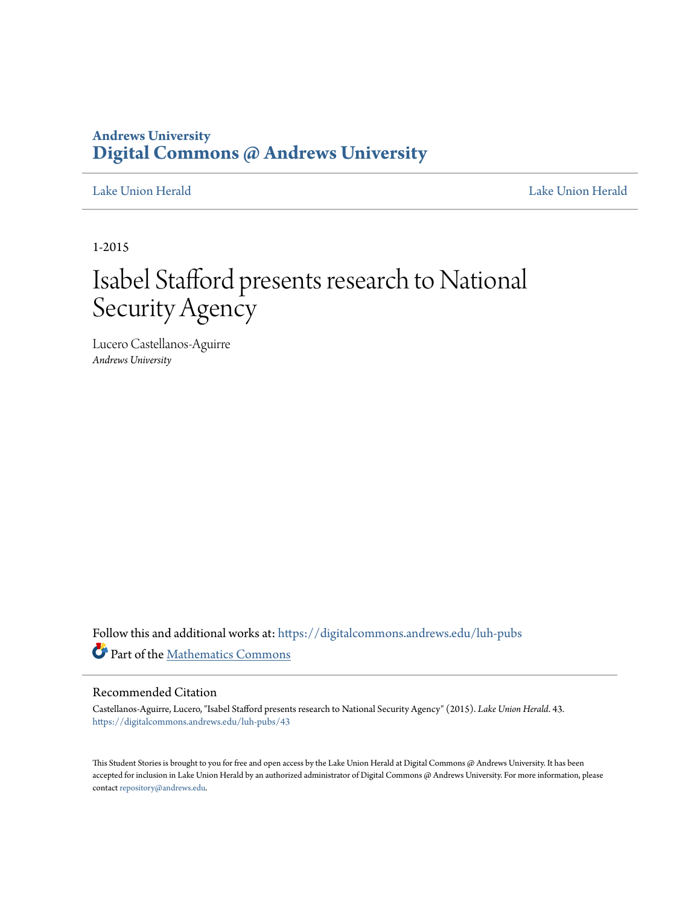### **Andrews University [Digital Commons @ Andrews University](https://digitalcommons.andrews.edu?utm_source=digitalcommons.andrews.edu%2Fluh-pubs%2F43&utm_medium=PDF&utm_campaign=PDFCoverPages)**

[Lake Union Herald](https://digitalcommons.andrews.edu/luh-pubs?utm_source=digitalcommons.andrews.edu%2Fluh-pubs%2F43&utm_medium=PDF&utm_campaign=PDFCoverPages) [Lake Union Herald](https://digitalcommons.andrews.edu/luh?utm_source=digitalcommons.andrews.edu%2Fluh-pubs%2F43&utm_medium=PDF&utm_campaign=PDFCoverPages)

1-2015

# Isabel Stafford presents research to National Security Agency

Lucero Castellanos-Aguirre *Andrews University*

Follow this and additional works at: [https://digitalcommons.andrews.edu/luh-pubs](https://digitalcommons.andrews.edu/luh-pubs?utm_source=digitalcommons.andrews.edu%2Fluh-pubs%2F43&utm_medium=PDF&utm_campaign=PDFCoverPages) Part of the [Mathematics Commons](http://network.bepress.com/hgg/discipline/174?utm_source=digitalcommons.andrews.edu%2Fluh-pubs%2F43&utm_medium=PDF&utm_campaign=PDFCoverPages)

### Recommended Citation

Castellanos-Aguirre, Lucero, "Isabel Stafford presents research to National Security Agency" (2015). *Lake Union Herald*. 43. [https://digitalcommons.andrews.edu/luh-pubs/43](https://digitalcommons.andrews.edu/luh-pubs/43?utm_source=digitalcommons.andrews.edu%2Fluh-pubs%2F43&utm_medium=PDF&utm_campaign=PDFCoverPages)

This Student Stories is brought to you for free and open access by the Lake Union Herald at Digital Commons @ Andrews University. It has been accepted for inclusion in Lake Union Herald by an authorized administrator of Digital Commons @ Andrews University. For more information, please contact [repository@andrews.edu.](mailto:repository@andrews.edu)